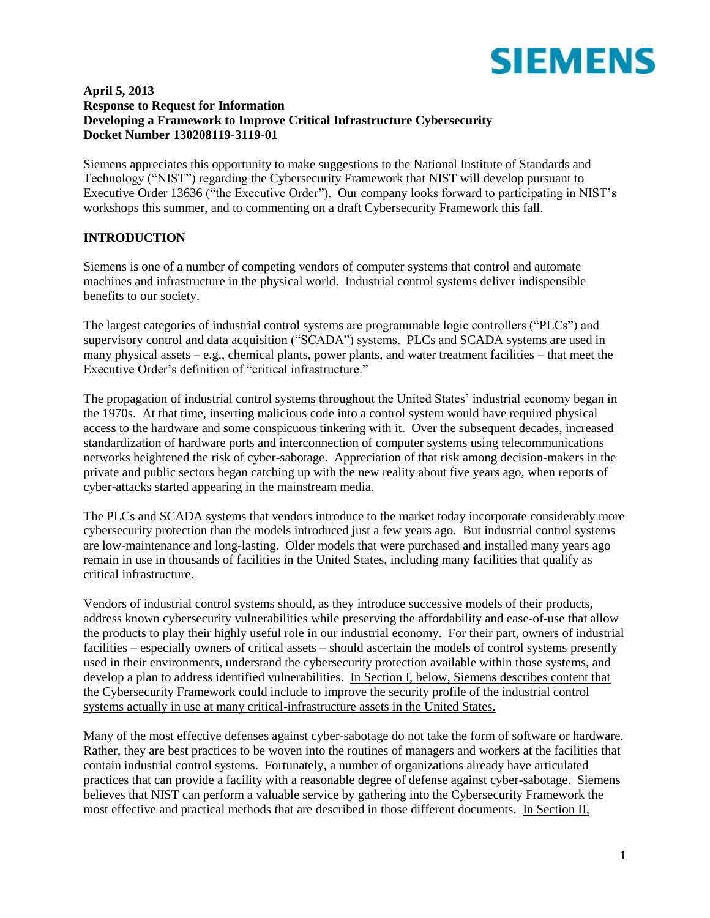

#### **April 5, 2013 Response to Request for Information Developing a Framework to Improve Critical Infrastructure Cybersecurity Docket Number 130208119-3119-01**

Siemens appreciates this opportunity to make suggestions to the National Institute of Standards and Technology ("NIST") regarding the Cybersecurity Framework that NIST will develop pursuant to Executive Order 13636 ("the Executive Order"). Our company looks forward to participating in NIST's workshops this summer, and to commenting on a draft Cybersecurity Framework this fall.

## **INTRODUCTION**

Siemens is one of a number of competing vendors of computer systems that control and automate machines and infrastructure in the physical world. Industrial control systems deliver indispensible benefits to our society.

The largest categories of industrial control systems are programmable logic controllers ("PLCs") and supervisory control and data acquisition ("SCADA") systems. PLCs and SCADA systems are used in many physical assets – e.g., chemical plants, power plants, and water treatment facilities – that meet the Executive Order's definition of "critical infrastructure."

The propagation of industrial control systems throughout the United States' industrial economy began in the 1970s. At that time, inserting malicious code into a control system would have required physical access to the hardware and some conspicuous tinkering with it. Over the subsequent decades, increased standardization of hardware ports and interconnection of computer systems using telecommunications networks heightened the risk of cyber-sabotage. Appreciation of that risk among decision-makers in the private and public sectors began catching up with the new reality about five years ago, when reports of cyber-attacks started appearing in the mainstream media.

The PLCs and SCADA systems that vendors introduce to the market today incorporate considerably more cybersecurity protection than the models introduced just a few years ago. But industrial control systems are low-maintenance and long-lasting. Older models that were purchased and installed many years ago remain in use in thousands of facilities in the United States, including many facilities that qualify as critical infrastructure.

Vendors of industrial control systems should, as they introduce successive models of their products, address known cybersecurity vulnerabilities while preserving the affordability and ease-of-use that allow the products to play their highly useful role in our industrial economy. For their part, owners of industrial facilities – especially owners of critical assets – should ascertain the models of control systems presently used in their environments, understand the cybersecurity protection available within those systems, and develop a plan to address identified vulnerabilities. In Section I, below, Siemens describes content that the Cybersecurity Framework could include to improve the security profile of the industrial control systems actually in use at many critical-infrastructure assets in the United States.

Many of the most effective defenses against cyber-sabotage do not take the form of software or hardware. Rather, they are best practices to be woven into the routines of managers and workers at the facilities that contain industrial control systems. Fortunately, a number of organizations already have articulated practices that can provide a facility with a reasonable degree of defense against cyber-sabotage. Siemens believes that NIST can perform a valuable service by gathering into the Cybersecurity Framework the most effective and practical methods that are described in those different documents. In Section II,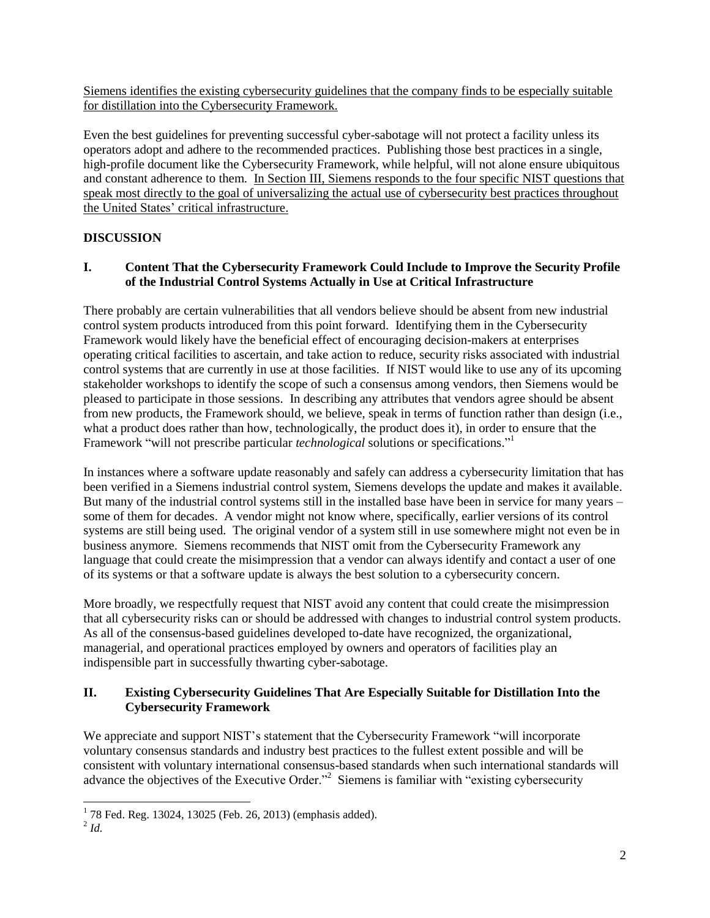Siemens identifies the existing cybersecurity guidelines that the company finds to be especially suitable for distillation into the Cybersecurity Framework.

Even the best guidelines for preventing successful cyber-sabotage will not protect a facility unless its operators adopt and adhere to the recommended practices. Publishing those best practices in a single, high-profile document like the Cybersecurity Framework, while helpful, will not alone ensure ubiquitous and constant adherence to them. In Section III, Siemens responds to the four specific NIST questions that speak most directly to the goal of universalizing the actual use of cybersecurity best practices throughout the United States' critical infrastructure.

# **DISCUSSION**

## **I. Content That the Cybersecurity Framework Could Include to Improve the Security Profile of the Industrial Control Systems Actually in Use at Critical Infrastructure**

There probably are certain vulnerabilities that all vendors believe should be absent from new industrial control system products introduced from this point forward. Identifying them in the Cybersecurity Framework would likely have the beneficial effect of encouraging decision-makers at enterprises operating critical facilities to ascertain, and take action to reduce, security risks associated with industrial control systems that are currently in use at those facilities. If NIST would like to use any of its upcoming stakeholder workshops to identify the scope of such a consensus among vendors, then Siemens would be pleased to participate in those sessions. In describing any attributes that vendors agree should be absent from new products, the Framework should, we believe, speak in terms of function rather than design (i.e., what a product does rather than how, technologically, the product does it), in order to ensure that the Framework "will not prescribe particular *technological* solutions or specifications." 1

In instances where a software update reasonably and safely can address a cybersecurity limitation that has been verified in a Siemens industrial control system, Siemens develops the update and makes it available. But many of the industrial control systems still in the installed base have been in service for many years – some of them for decades. A vendor might not know where, specifically, earlier versions of its control systems are still being used. The original vendor of a system still in use somewhere might not even be in business anymore. Siemens recommends that NIST omit from the Cybersecurity Framework any language that could create the misimpression that a vendor can always identify and contact a user of one of its systems or that a software update is always the best solution to a cybersecurity concern.

More broadly, we respectfully request that NIST avoid any content that could create the misimpression that all cybersecurity risks can or should be addressed with changes to industrial control system products. As all of the consensus-based guidelines developed to-date have recognized, the organizational, managerial, and operational practices employed by owners and operators of facilities play an indispensible part in successfully thwarting cyber-sabotage.

## **II. Existing Cybersecurity Guidelines That Are Especially Suitable for Distillation Into the Cybersecurity Framework**

We appreciate and support NIST's statement that the Cybersecurity Framework "will incorporate voluntary consensus standards and industry best practices to the fullest extent possible and will be consistent with voluntary international consensus-based standards when such international standards will advance the objectives of the Executive Order."<sup>2</sup> Siemens is familiar with "existing cybersecurity

 1 78 Fed. Reg. 13024, 13025 (Feb. 26, 2013) (emphasis added).

<sup>2</sup> *Id.*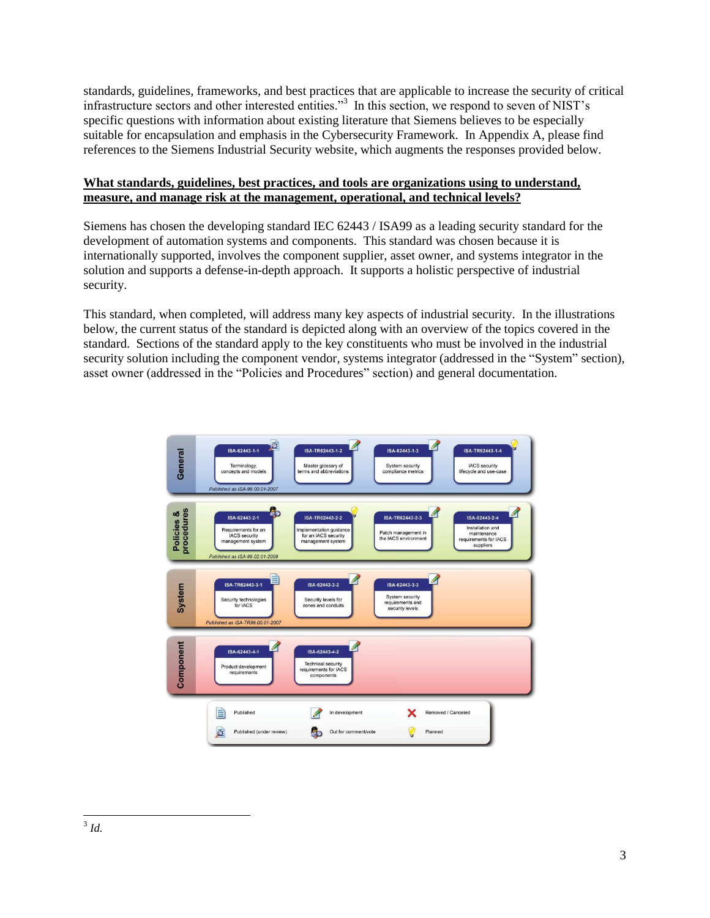standards, guidelines, frameworks, and best practices that are applicable to increase the security of critical infrastructure sectors and other interested entities."<sup>3</sup> In this section, we respond to seven of NIST's specific questions with information about existing literature that Siemens believes to be especially suitable for encapsulation and emphasis in the Cybersecurity Framework. In Appendix A, please find references to the Siemens Industrial Security website, which augments the responses provided below.

## **What standards, guidelines, best practices, and tools are organizations using to understand, measure, and manage risk at the management, operational, and technical levels?**

Siemens has chosen the developing standard IEC 62443 / ISA99 as a leading security standard for the development of automation systems and components. This standard was chosen because it is internationally supported, involves the component supplier, asset owner, and systems integrator in the solution and supports a defense-in-depth approach. It supports a holistic perspective of industrial security.

This standard, when completed, will address many key aspects of industrial security. In the illustrations below, the current status of the standard is depicted along with an overview of the topics covered in the standard. Sections of the standard apply to the key constituents who must be involved in the industrial security solution including the component vendor, systems integrator (addressed in the "System" section), asset owner (addressed in the "Policies and Procedures" section) and general documentation.

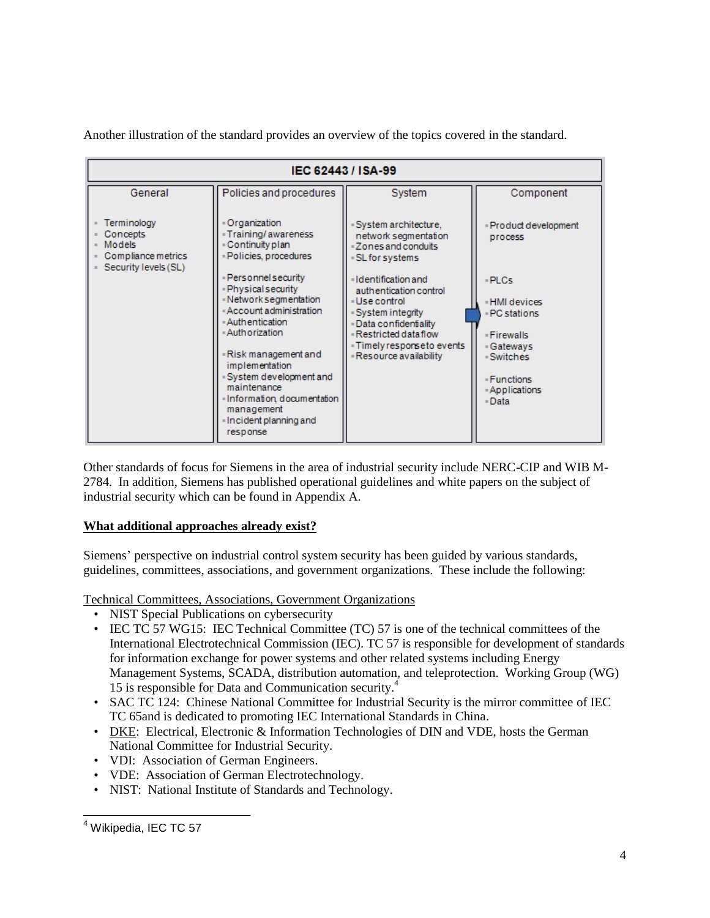Another illustration of the standard provides an overview of the topics covered in the standard.



Other standards of focus for Siemens in the area of industrial security include NERC-CIP and WIB M-2784. In addition, Siemens has published operational guidelines and white papers on the subject of industrial security which can be found in Appendix A.

# **What additional approaches already exist?**

Siemens' perspective on industrial control system security has been guided by various standards, guidelines, committees, associations, and government organizations. These include the following:

Technical Committees, Associations, Government Organizations

- NIST Special Publications on cybersecurity
- IEC TC 57 WG15: IEC Technical Committee (TC) 57 is one of the technical committees of the International Electrotechnical Commission (IEC). TC 57 is responsible for development of standards for information exchange for power systems and other related systems including Energy Management Systems, SCADA, distribution automation, and teleprotection. Working Group (WG) 15 is responsible for Data and Communication security.<sup>4</sup>
- SAC TC 124: Chinese National Committee for Industrial Security is the mirror committee of IEC TC 65and is dedicated to promoting IEC International Standards in China.
- [DKE:](http://www.vde.com/en/dke/Pages/DKE.aspx) Electrical, Electronic & Information Technologies of DIN and VDE, hosts the German National Committee for Industrial Security.
- VDI: Association of German Engineers.
- VDE: Association of German Electrotechnology.
- NIST: National Institute of Standards and Technology.

<sup>&</sup>lt;sup>4</sup> Wikipedia, IEC TC 57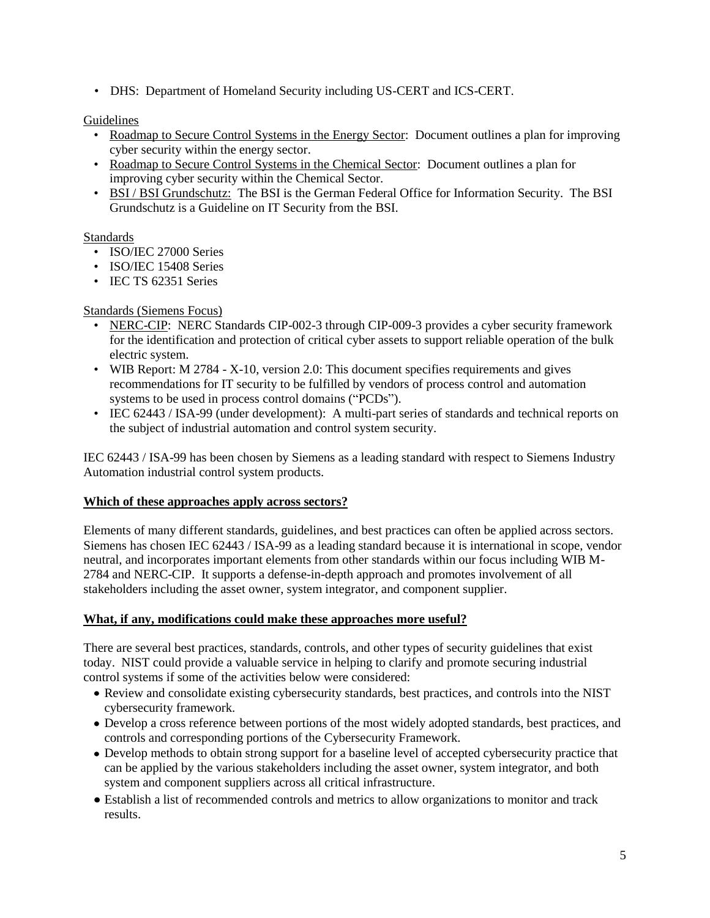• DHS: Department of Homeland Security including US-CERT and ICS-CERT.

## Guidelines

- [Roadmap to Secure Control Systems in the Energy Sector:](http://energy.gov/oe/downloads/roadmap-secure-control-systems-energy-sector-2006) Document outlines a plan for improving cyber security within the energy sector.
- [Roadmap to Secure Control Systems in the Chemical Sector:](http://ics-cert.us-cert.gov/pdf/ChemSec_Roadmap.pdf) Document outlines a plan for improving cyber security within the Chemical Sector.
- [BSI / BSI Grundschutz:](https://www.bsi.bund.de/EN/TheBSI/thebsi_node.html) The BSI is the German Federal Office for Information Security. The BSI Grundschutz is a Guideline on IT Security from the BSI.

## Standards

- ISO/IEC 27000 Series
- ISO/IEC 15408 Series
- IEC TS 62351 Series

## Standards (Siemens Focus)

- [NERC-CIP:](http://www.nerc.com/page.php?cid=2%7C20) NERC Standards CIP-002-3 through CIP-009-3 provides a cyber security framework for the identification and protection of critical cyber assets to support reliable operation of the bulk electric system.
- WIB Report: M 2784 X-10, version 2.0: This document specifies requirements and gives recommendations for IT security to be fulfilled by vendors of process control and automation systems to be used in process control domains ("PCDs").
- IEC 62443 / ISA-99 (under development): A multi-part series of standards and technical reports on the subject of industrial automation and control system security.

IEC 62443 / ISA-99 has been chosen by Siemens as a leading standard with respect to Siemens Industry Automation industrial control system products.

### **Which of these approaches apply across sectors?**

Elements of many different standards, guidelines, and best practices can often be applied across sectors. Siemens has chosen IEC 62443 / ISA-99 as a leading standard because it is international in scope, vendor neutral, and incorporates important elements from other standards within our focus including WIB M-2784 and NERC-CIP. It supports a defense-in-depth approach and promotes involvement of all stakeholders including the asset owner, system integrator, and component supplier.

### **What, if any, modifications could make these approaches more useful?**

There are several best practices, standards, controls, and other types of security guidelines that exist today. NIST could provide a valuable service in helping to clarify and promote securing industrial control systems if some of the activities below were considered:

- Review and consolidate existing cybersecurity standards, best practices, and controls into the NIST cybersecurity framework.
- Develop a cross reference between portions of the most widely adopted standards, best practices, and controls and corresponding portions of the Cybersecurity Framework.
- Develop methods to obtain strong support for a baseline level of accepted cybersecurity practice that can be applied by the various stakeholders including the asset owner, system integrator, and both system and component suppliers across all critical infrastructure.
- Establish a list of recommended controls and metrics to allow organizations to monitor and track results.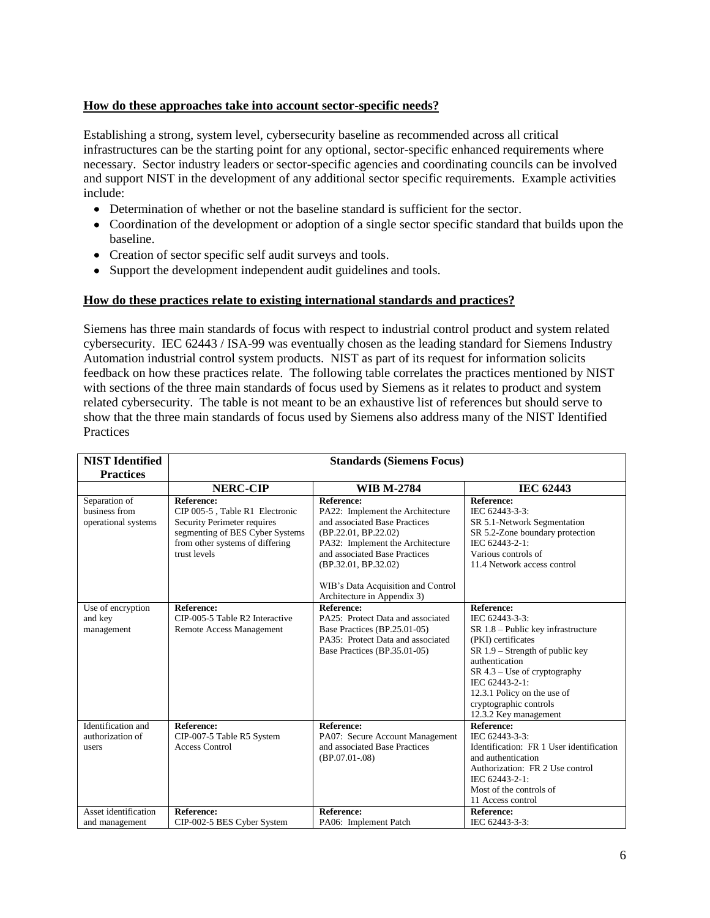## **How do these approaches take into account sector-specific needs?**

Establishing a strong, system level, cybersecurity baseline as recommended across all critical infrastructures can be the starting point for any optional, sector-specific enhanced requirements where necessary. Sector industry leaders or sector-specific agencies and coordinating councils can be involved and support NIST in the development of any additional sector specific requirements. Example activities include:

- Determination of whether or not the baseline standard is sufficient for the sector.
- Coordination of the development or adoption of a single sector specific standard that builds upon the baseline.
- Creation of sector specific self audit surveys and tools.
- Support the development independent audit guidelines and tools.

## **How do these practices relate to existing international standards and practices?**

Siemens has three main standards of focus with respect to industrial control product and system related cybersecurity. IEC 62443 / ISA-99 was eventually chosen as the leading standard for Siemens Industry Automation industrial control system products. NIST as part of its request for information solicits feedback on how these practices relate. The following table correlates the practices mentioned by NIST with sections of the three main standards of focus used by Siemens as it relates to product and system related cybersecurity. The table is not meant to be an exhaustive list of references but should serve to show that the three main standards of focus used by Siemens also address many of the NIST Identified **Practices** 

| <b>NIST Identified</b>                                | <b>Standards (Siemens Focus)</b>                                                                                                                                         |                                                                                                                                                                                                                                                                                  |                                                                                                                                                                                                                                                                                              |
|-------------------------------------------------------|--------------------------------------------------------------------------------------------------------------------------------------------------------------------------|----------------------------------------------------------------------------------------------------------------------------------------------------------------------------------------------------------------------------------------------------------------------------------|----------------------------------------------------------------------------------------------------------------------------------------------------------------------------------------------------------------------------------------------------------------------------------------------|
| <b>Practices</b>                                      |                                                                                                                                                                          |                                                                                                                                                                                                                                                                                  |                                                                                                                                                                                                                                                                                              |
|                                                       | <b>NERC-CIP</b>                                                                                                                                                          | <b>WIB M-2784</b>                                                                                                                                                                                                                                                                | <b>IEC 62443</b>                                                                                                                                                                                                                                                                             |
| Separation of<br>business from<br>operational systems | <b>Reference:</b><br>CIP 005-5, Table R1 Electronic<br>Security Perimeter requires<br>segmenting of BES Cyber Systems<br>from other systems of differing<br>trust levels | <b>Reference:</b><br>PA22: Implement the Architecture<br>and associated Base Practices<br>(BP.22.01, BP.22.02)<br>PA32: Implement the Architecture<br>and associated Base Practices<br>(BP.32.01, BP.32.02)<br>WIB's Data Acquisition and Control<br>Architecture in Appendix 3) | <b>Reference:</b><br>IEC 62443-3-3:<br>SR 5.1-Network Segmentation<br>SR 5.2-Zone boundary protection<br>IEC 62443-2-1:<br>Various controls of<br>11.4 Network access control                                                                                                                |
| Use of encryption<br>and key<br>management            | <b>Reference:</b><br>CIP-005-5 Table R2 Interactive<br>Remote Access Management                                                                                          | <b>Reference:</b><br>PA25: Protect Data and associated<br>Base Practices (BP.25.01-05)<br>PA35: Protect Data and associated<br>Base Practices (BP.35.01-05)                                                                                                                      | <b>Reference:</b><br>IEC 62443-3-3:<br>SR 1.8 – Public key infrastructure<br>(PKI) certificates<br>$SR 1.9 - Strength of public key$<br>authentication<br>$SR 4.3 - Use of cryptography$<br>IEC 62443-2-1:<br>12.3.1 Policy on the use of<br>cryptographic controls<br>12.3.2 Key management |
| Identification and<br>authorization of<br>users       | <b>Reference:</b><br>CIP-007-5 Table R5 System<br><b>Access Control</b>                                                                                                  | <b>Reference:</b><br>PA07: Secure Account Management<br>and associated Base Practices<br>$(BP.07.01-.08)$                                                                                                                                                                        | <b>Reference:</b><br>IEC 62443-3-3:<br>Identification: FR 1 User identification<br>and authentication<br>Authorization: FR 2 Use control<br>IEC 62443-2-1:<br>Most of the controls of<br>11 Access control                                                                                   |
| Asset identification<br>and management                | <b>Reference:</b><br>CIP-002-5 BES Cyber System                                                                                                                          | <b>Reference:</b><br>PA06: Implement Patch                                                                                                                                                                                                                                       | <b>Reference:</b><br>IEC 62443-3-3:                                                                                                                                                                                                                                                          |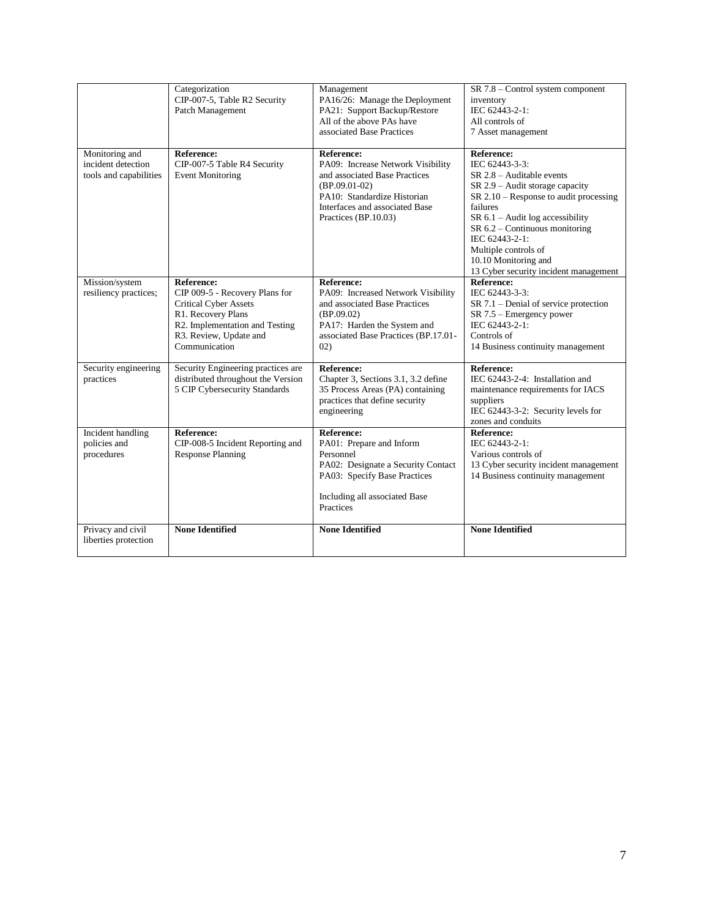|                                                                | Categorization<br>CIP-007-5, Table R2 Security<br>Patch Management                                                                                                                     | Management<br>PA16/26: Manage the Deployment<br>PA21: Support Backup/Restore<br>All of the above PAs have<br>associated Base Practices                                                              | SR 7.8 - Control system component<br>inventory<br>IEC 62443-2-1:<br>All controls of<br>7 Asset management                                                                                                                                                                                                                                          |
|----------------------------------------------------------------|----------------------------------------------------------------------------------------------------------------------------------------------------------------------------------------|-----------------------------------------------------------------------------------------------------------------------------------------------------------------------------------------------------|----------------------------------------------------------------------------------------------------------------------------------------------------------------------------------------------------------------------------------------------------------------------------------------------------------------------------------------------------|
| Monitoring and<br>incident detection<br>tools and capabilities | <b>Reference:</b><br>CIP-007-5 Table R4 Security<br><b>Event Monitoring</b>                                                                                                            | <b>Reference:</b><br>PA09: Increase Network Visibility<br>and associated Base Practices<br>$(BP.09.01-02)$<br>PA10: Standardize Historian<br>Interfaces and associated Base<br>Practices (BP.10.03) | Reference:<br>IEC 62443-3-3:<br>$SR$ 2.8 – Auditable events<br>$SR 2.9 - \text{Audit storage capacity}$<br>$SR 2.10 - Response$ to audit processing<br>failures<br>SR $6.1$ – Audit log accessibility<br>SR 6.2 - Continuous monitoring<br>IEC 62443-2-1:<br>Multiple controls of<br>10.10 Monitoring and<br>13 Cyber security incident management |
| Mission/system<br>resiliency practices;                        | <b>Reference:</b><br>CIP 009-5 - Recovery Plans for<br><b>Critical Cyber Assets</b><br>R1. Recovery Plans<br>R2. Implementation and Testing<br>R3. Review, Update and<br>Communication | <b>Reference:</b><br>PA09: Increased Network Visibility<br>and associated Base Practices<br>(BP.09.02)<br>PA17: Harden the System and<br>associated Base Practices (BP.17.01-<br>02)                | <b>Reference:</b><br>IEC 62443-3-3:<br>$SR 7.1$ – Denial of service protection<br>$SR$ 7.5 – Emergency power<br>IEC 62443-2-1:<br>Controls of<br>14 Business continuity management                                                                                                                                                                 |
| Security engineering<br>practices                              | Security Engineering practices are<br>distributed throughout the Version<br>5 CIP Cybersecurity Standards                                                                              | <b>Reference:</b><br>Chapter 3, Sections 3.1, 3.2 define<br>35 Process Areas (PA) containing<br>practices that define security<br>engineering                                                       | <b>Reference:</b><br>IEC 62443-2-4: Installation and<br>maintenance requirements for IACS<br>suppliers<br>IEC 62443-3-2: Security levels for<br>zones and conduits                                                                                                                                                                                 |
| Incident handling<br>policies and<br>procedures                | <b>Reference:</b><br>CIP-008-5 Incident Reporting and<br><b>Response Planning</b>                                                                                                      | <b>Reference:</b><br>PA01: Prepare and Inform<br>Personnel<br>PA02: Designate a Security Contact<br>PA03: Specify Base Practices<br>Including all associated Base<br>Practices                      | <b>Reference:</b><br>IEC 62443-2-1:<br>Various controls of<br>13 Cyber security incident management<br>14 Business continuity management                                                                                                                                                                                                           |
| Privacy and civil<br>liberties protection                      | <b>None Identified</b>                                                                                                                                                                 | <b>None Identified</b>                                                                                                                                                                              | <b>None Identified</b>                                                                                                                                                                                                                                                                                                                             |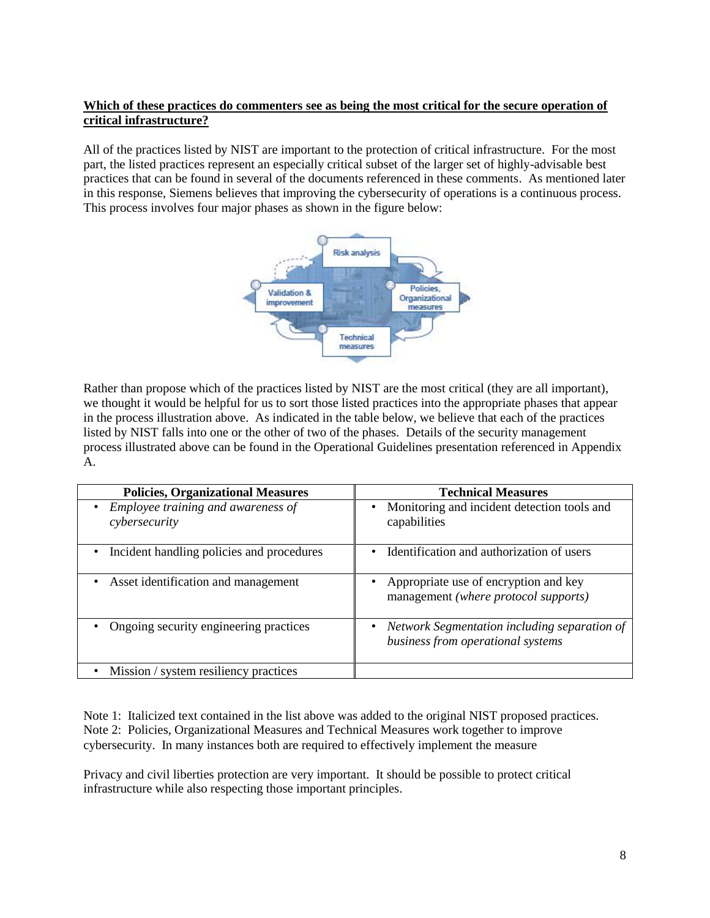## **Which of these practices do commenters see as being the most critical for the secure operation of critical infrastructure?**

All of the practices listed by NIST are important to the protection of critical infrastructure. For the most part, the listed practices represent an especially critical subset of the larger set of highly-advisable best practices that can be found in several of the documents referenced in these comments. As mentioned later in this response, Siemens believes that improving the cybersecurity of operations is a continuous process. This process involves four major phases as shown in the figure below:



Rather than propose which of the practices listed by NIST are the most critical (they are all important), we thought it would be helpful for us to sort those listed practices into the appropriate phases that appear in the process illustration above. As indicated in the table below, we believe that each of the practices listed by NIST falls into one or the other of two of the phases. Details of the security management process illustrated above can be found in the Operational Guidelines presentation referenced in Appendix A.

| <b>Policies, Organizational Measures</b>            | <b>Technical Measures</b>                                                         |
|-----------------------------------------------------|-----------------------------------------------------------------------------------|
| Employee training and awareness of<br>cybersecurity | Monitoring and incident detection tools and<br>capabilities                       |
| Incident handling policies and procedures           | Identification and authorization of users                                         |
| Asset identification and management                 | Appropriate use of encryption and key<br>management (where protocol supports)     |
| Ongoing security engineering practices              | Network Segmentation including separation of<br>business from operational systems |
| Mission / system resiliency practices               |                                                                                   |

Note 1: Italicized text contained in the list above was added to the original NIST proposed practices. Note 2: Policies, Organizational Measures and Technical Measures work together to improve cybersecurity. In many instances both are required to effectively implement the measure

Privacy and civil liberties protection are very important. It should be possible to protect critical infrastructure while also respecting those important principles.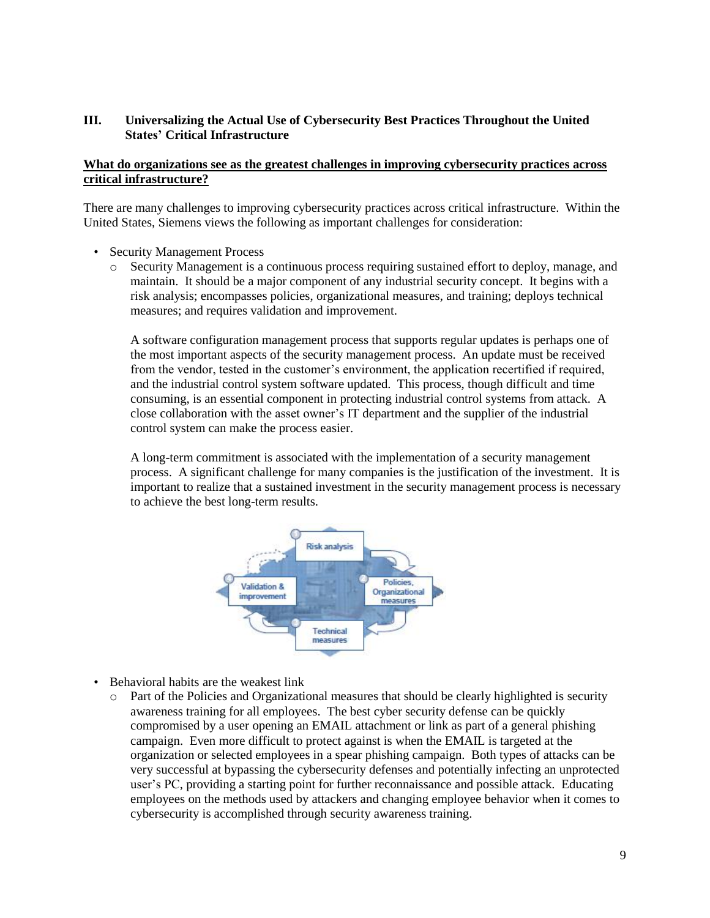## **III. Universalizing the Actual Use of Cybersecurity Best Practices Throughout the United States' Critical Infrastructure**

### **What do organizations see as the greatest challenges in improving cybersecurity practices across critical infrastructure?**

There are many challenges to improving cybersecurity practices across critical infrastructure. Within the United States, Siemens views the following as important challenges for consideration:

- Security Management Process
	- o Security Management is a continuous process requiring sustained effort to deploy, manage, and maintain. It should be a major component of any industrial security concept. It begins with a risk analysis; encompasses policies, organizational measures, and training; deploys technical measures; and requires validation and improvement.

A software configuration management process that supports regular updates is perhaps one of the most important aspects of the security management process. An update must be received from the vendor, tested in the customer's environment, the application recertified if required, and the industrial control system software updated. This process, though difficult and time consuming, is an essential component in protecting industrial control systems from attack. A close collaboration with the asset owner's IT department and the supplier of the industrial control system can make the process easier.

A long-term commitment is associated with the implementation of a security management process. A significant challenge for many companies is the justification of the investment. It is important to realize that a sustained investment in the security management process is necessary to achieve the best long-term results.



- Behavioral habits are the weakest link
	- o Part of the Policies and Organizational measures that should be clearly highlighted is security awareness training for all employees. The best cyber security defense can be quickly compromised by a user opening an EMAIL attachment or link as part of a general phishing campaign. Even more difficult to protect against is when the EMAIL is targeted at the organization or selected employees in a spear phishing campaign. Both types of attacks can be very successful at bypassing the cybersecurity defenses and potentially infecting an unprotected user's PC, providing a starting point for further reconnaissance and possible attack. Educating employees on the methods used by attackers and changing employee behavior when it comes to cybersecurity is accomplished through security awareness training.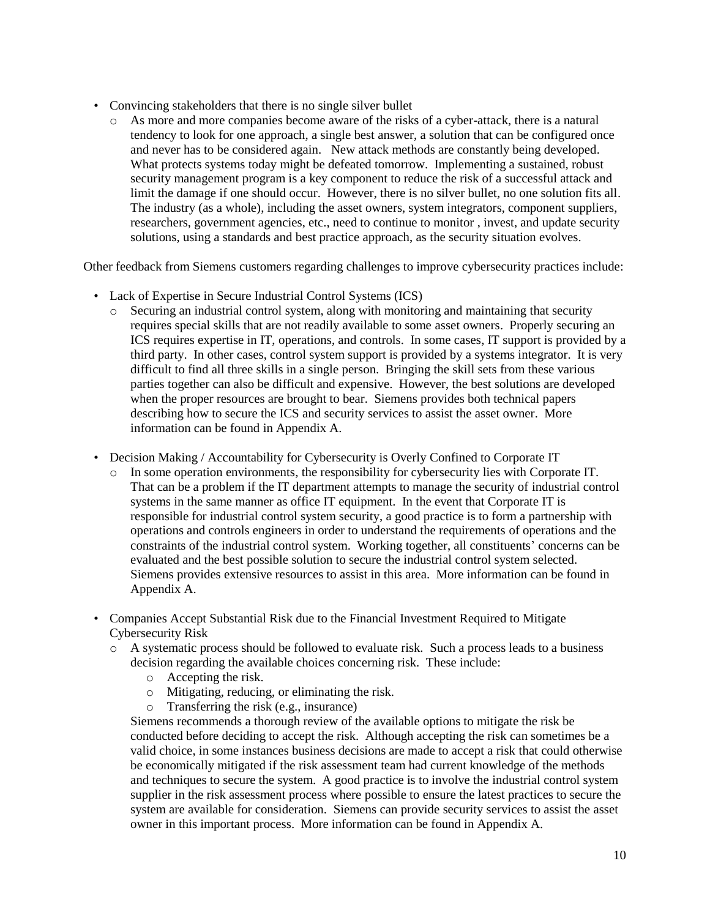- Convincing stakeholders that there is no single silver bullet
	- o As more and more companies become aware of the risks of a cyber-attack, there is a natural tendency to look for one approach, a single best answer, a solution that can be configured once and never has to be considered again. New attack methods are constantly being developed. What protects systems today might be defeated tomorrow. Implementing a sustained, robust security management program is a key component to reduce the risk of a successful attack and limit the damage if one should occur. However, there is no silver bullet, no one solution fits all. The industry (as a whole), including the asset owners, system integrators, component suppliers, researchers, government agencies, etc., need to continue to monitor , invest, and update security solutions, using a standards and best practice approach, as the security situation evolves.

Other feedback from Siemens customers regarding challenges to improve cybersecurity practices include:

- Lack of Expertise in Secure Industrial Control Systems (ICS)
	- o Securing an industrial control system, along with monitoring and maintaining that security requires special skills that are not readily available to some asset owners. Properly securing an ICS requires expertise in IT, operations, and controls. In some cases, IT support is provided by a third party. In other cases, control system support is provided by a systems integrator. It is very difficult to find all three skills in a single person. Bringing the skill sets from these various parties together can also be difficult and expensive. However, the best solutions are developed when the proper resources are brought to bear. Siemens provides both technical papers describing how to secure the ICS and security services to assist the asset owner. More information can be found in Appendix A.
- Decision Making / Accountability for Cybersecurity is Overly Confined to Corporate IT
	- o In some operation environments, the responsibility for cybersecurity lies with Corporate IT. That can be a problem if the IT department attempts to manage the security of industrial control systems in the same manner as office IT equipment. In the event that Corporate IT is responsible for industrial control system security, a good practice is to form a partnership with operations and controls engineers in order to understand the requirements of operations and the constraints of the industrial control system. Working together, all constituents' concerns can be evaluated and the best possible solution to secure the industrial control system selected. Siemens provides extensive resources to assist in this area. More information can be found in Appendix A.
- Companies Accept Substantial Risk due to the Financial Investment Required to Mitigate Cybersecurity Risk
	- o A systematic process should be followed to evaluate risk. Such a process leads to a business decision regarding the available choices concerning risk. These include:
		- o Accepting the risk.
		- o Mitigating, reducing, or eliminating the risk.
		- o Transferring the risk (e.g., insurance)

Siemens recommends a thorough review of the available options to mitigate the risk be conducted before deciding to accept the risk. Although accepting the risk can sometimes be a valid choice, in some instances business decisions are made to accept a risk that could otherwise be economically mitigated if the risk assessment team had current knowledge of the methods and techniques to secure the system. A good practice is to involve the industrial control system supplier in the risk assessment process where possible to ensure the latest practices to secure the system are available for consideration. Siemens can provide security services to assist the asset owner in this important process. More information can be found in Appendix A.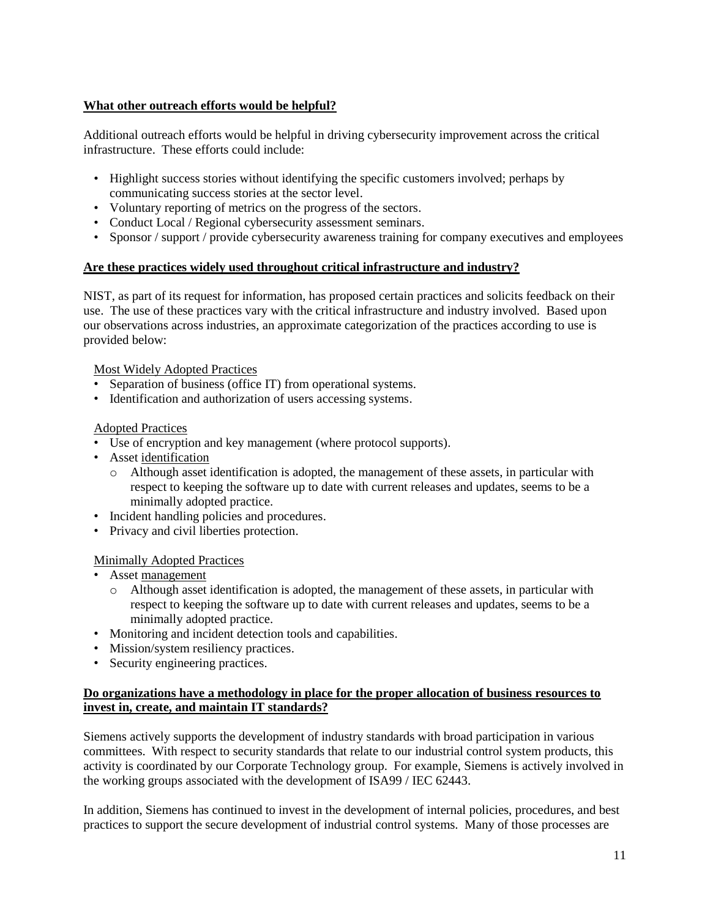## **What other outreach efforts would be helpful?**

Additional outreach efforts would be helpful in driving cybersecurity improvement across the critical infrastructure. These efforts could include:

- Highlight success stories without identifying the specific customers involved; perhaps by communicating success stories at the sector level.
- Voluntary reporting of metrics on the progress of the sectors.
- Conduct Local / Regional cybersecurity assessment seminars.
- Sponsor / support / provide cybersecurity awareness training for company executives and employees

## **Are these practices widely used throughout critical infrastructure and industry?**

NIST, as part of its request for information, has proposed certain practices and solicits feedback on their use. The use of these practices vary with the critical infrastructure and industry involved. Based upon our observations across industries, an approximate categorization of the practices according to use is provided below:

## Most Widely Adopted Practices

- Separation of business (office IT) from operational systems.
- Identification and authorization of users accessing systems.

## Adopted Practices

- Use of encryption and key management (where protocol supports).
- Asset identification
	- o Although asset identification is adopted, the management of these assets, in particular with respect to keeping the software up to date with current releases and updates, seems to be a minimally adopted practice.
- Incident handling policies and procedures.
- Privacy and civil liberties protection.

### Minimally Adopted Practices

- Asset management
	- $\circ$  Although asset identification is adopted, the management of these assets, in particular with respect to keeping the software up to date with current releases and updates, seems to be a minimally adopted practice.
- Monitoring and incident detection tools and capabilities.
- Mission/system resiliency practices.
- Security engineering practices.

### **Do organizations have a methodology in place for the proper allocation of business resources to invest in, create, and maintain IT standards?**

Siemens actively supports the development of industry standards with broad participation in various committees. With respect to security standards that relate to our industrial control system products, this activity is coordinated by our Corporate Technology group. For example, Siemens is actively involved in the working groups associated with the development of ISA99 / IEC 62443.

In addition, Siemens has continued to invest in the development of internal policies, procedures, and best practices to support the secure development of industrial control systems. Many of those processes are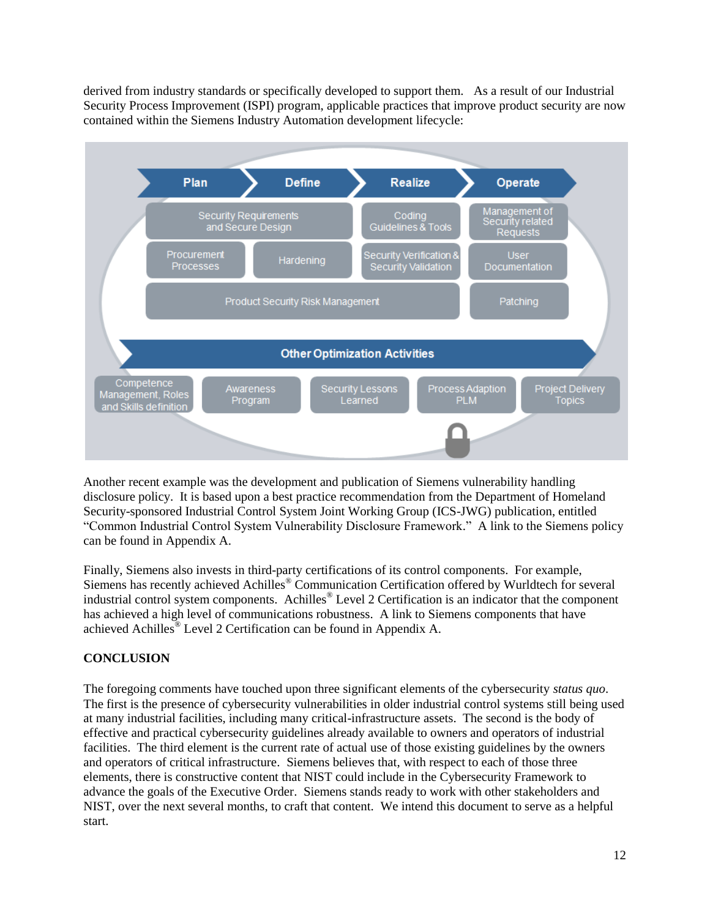derived from industry standards or specifically developed to support them. As a result of our Industrial Security Process Improvement (ISPI) program, applicable practices that improve product security are now contained within the Siemens Industry Automation development lifecycle:



Another recent example was the development and publication of Siemens vulnerability handling disclosure policy. It is based upon a best practice recommendation from the Department of Homeland Security-sponsored Industrial Control System Joint Working Group (ICS-JWG) publication, entitled "Common Industrial Control System Vulnerability Disclosure Framework." A link to the Siemens policy can be found in Appendix A.

Finally, Siemens also invests in third-party certifications of its control components. For example, Siemens has recently achieved Achilles<sup>®</sup> Communication Certification offered by Wurldtech for several industrial control system components. Achilles® Level 2 Certification is an indicator that the component has achieved a high level of communications robustness. A link to Siemens components that have achieved Achilles® Level 2 Certification can be found in Appendix A.

## **CONCLUSION**

The foregoing comments have touched upon three significant elements of the cybersecurity *status quo*. The first is the presence of cybersecurity vulnerabilities in older industrial control systems still being used at many industrial facilities, including many critical-infrastructure assets. The second is the body of effective and practical cybersecurity guidelines already available to owners and operators of industrial facilities. The third element is the current rate of actual use of those existing guidelines by the owners and operators of critical infrastructure. Siemens believes that, with respect to each of those three elements, there is constructive content that NIST could include in the Cybersecurity Framework to advance the goals of the Executive Order. Siemens stands ready to work with other stakeholders and NIST, over the next several months, to craft that content. We intend this document to serve as a helpful start.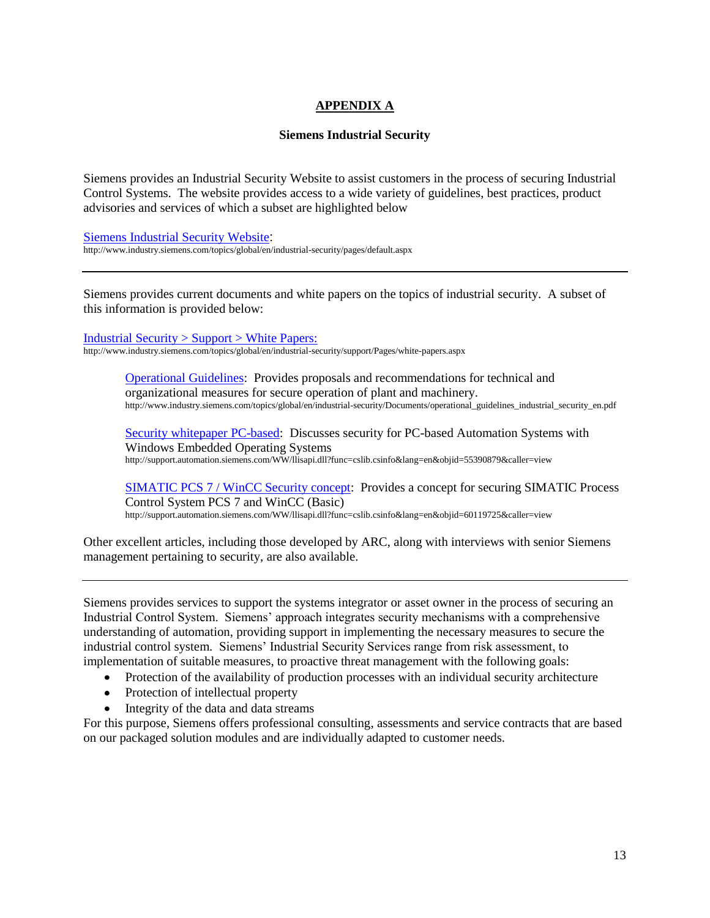# **APPENDIX A**

#### **Siemens Industrial Security**

Siemens provides an Industrial Security Website to assist customers in the process of securing Industrial Control Systems. The website provides access to a wide variety of guidelines, best practices, product advisories and services of which a subset are highlighted below

[Siemens Industrial Security Website](http://www.industry.siemens.com/topics/global/en/industrial-security/pages/default.aspx): http://www.industry.siemens.com/topics/global/en/industrial-security/pages/default.aspx

Siemens provides current documents and white papers on the topics of industrial security. A subset of this information is provided below:

[Industrial Security > Support > White Papers:](http://www.industry.siemens.com/topics/global/en/industrial-security/support/Pages/white-papers.aspx)

http://www.industry.siemens.com/topics/global/en/industrial-security/support/Pages/white-papers.aspx

[Operational](http://www.industry.siemens.com/topics/global/en/industrial-security/Documents/operational_guidelines_industrial_security_en.pdf) Guidelines: Provides proposals and recommendations for technical and organizational measures for secure operation of plant and machinery. http://www.industry.siemens.com/topics/global/en/industrial-security/Documents/operational\_guidelines\_industrial\_security\_en.pdf

[Security whitepaper PC-based:](http://support.automation.siemens.com/WW/llisapi.dll?func=cslib.csinfo&lang=en&objid=55390879&caller=view) Discusses security for PC-based Automation Systems with Windows Embedded Operating Systems http://support.automation.siemens.com/WW/llisapi.dll?func=cslib.csinfo&lang=en&objid=55390879&caller=view

[SIMATIC PCS 7 / WinCC Security concept:](http://support.automation.siemens.com/WW/llisapi.dll?func=cslib.csinfo&lang=en&objid=60119725&caller=view) Provides a concept for securing SIMATIC Process Control System PCS 7 and WinCC (Basic) http://support.automation.siemens.com/WW/llisapi.dll?func=cslib.csinfo&lang=en&objid=60119725&caller=view

Other excellent articles, including those developed by ARC, along with interviews with senior Siemens management pertaining to security, are also available.

Siemens provides services to support the systems integrator or asset owner in the process of securing an Industrial Control System. Siemens' approach integrates security mechanisms with a comprehensive understanding of automation, providing support in implementing the necessary measures to secure the industrial control system. Siemens' Industrial Security Services range from risk assessment, to implementation of suitable measures, to proactive threat management with the following goals:

- Protection of the availability of production processes with an individual security architecture
- Protection of intellectual property  $\bullet$
- Integrity of the data and data streams

For this purpose, Siemens offers professional consulting, assessments and service contracts that are based on our packaged solution modules and are individually adapted to customer needs.